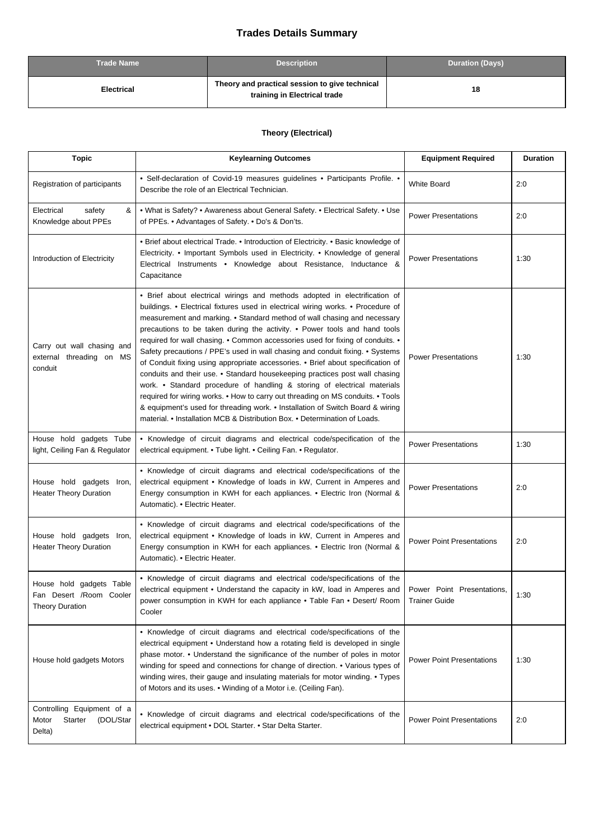## **Trades Details Summary**

| <b>Trade Name</b> | <b>Description</b>                                                             | <b>Duration (Days)</b> |
|-------------------|--------------------------------------------------------------------------------|------------------------|
| Electrical        | Theory and practical session to give technical<br>training in Electrical trade | 18                     |

## **Theory (Electrical)**

| <b>Topic</b>                                                                  | <b>Keylearning Outcomes</b>                                                                                                                                                                                                                                                                                                                                                                                                                                                                                                                                                                                                                                                                                                                                                                                                                                                                                                                                                                 | <b>Equipment Required</b>                          | <b>Duration</b> |
|-------------------------------------------------------------------------------|---------------------------------------------------------------------------------------------------------------------------------------------------------------------------------------------------------------------------------------------------------------------------------------------------------------------------------------------------------------------------------------------------------------------------------------------------------------------------------------------------------------------------------------------------------------------------------------------------------------------------------------------------------------------------------------------------------------------------------------------------------------------------------------------------------------------------------------------------------------------------------------------------------------------------------------------------------------------------------------------|----------------------------------------------------|-----------------|
| Registration of participants                                                  | • Self-declaration of Covid-19 measures guidelines • Participants Profile. •<br>Describe the role of an Electrical Technician.                                                                                                                                                                                                                                                                                                                                                                                                                                                                                                                                                                                                                                                                                                                                                                                                                                                              | <b>White Board</b>                                 | 2:0             |
| Electrical<br>safety<br>&<br>Knowledge about PPEs                             | • What is Safety? • Awareness about General Safety. • Electrical Safety. • Use<br>of PPEs. • Advantages of Safety. • Do's & Don'ts.                                                                                                                                                                                                                                                                                                                                                                                                                                                                                                                                                                                                                                                                                                                                                                                                                                                         | <b>Power Presentations</b>                         | 2:0             |
| Introduction of Electricity                                                   | • Brief about electrical Trade. • Introduction of Electricity. • Basic knowledge of<br>Electricity. • Important Symbols used in Electricity. • Knowledge of general<br>Electrical Instruments • Knowledge about Resistance, Inductance &<br>Capacitance                                                                                                                                                                                                                                                                                                                                                                                                                                                                                                                                                                                                                                                                                                                                     | <b>Power Presentations</b>                         | 1:30            |
| Carry out wall chasing and<br>external threading on MS<br>conduit             | • Brief about electrical wirings and methods adopted in electrification of<br>buildings. • Electrical fixtures used in electrical wiring works. • Procedure of<br>measurement and marking. • Standard method of wall chasing and necessary<br>precautions to be taken during the activity. • Power tools and hand tools<br>required for wall chasing. . Common accessories used for fixing of conduits. .<br>Safety precautions / PPE's used in wall chasing and conduit fixing. • Systems<br>of Conduit fixing using appropriate accessories. • Brief about specification of<br>conduits and their use. • Standard housekeeping practices post wall chasing<br>work. • Standard procedure of handling & storing of electrical materials<br>required for wiring works. • How to carry out threading on MS conduits. • Tools<br>& equipment's used for threading work. • Installation of Switch Board & wiring<br>material. • Installation MCB & Distribution Box. • Determination of Loads. | <b>Power Presentations</b>                         | 1:30            |
| House hold gadgets Tube<br>light, Ceiling Fan & Regulator                     | • Knowledge of circuit diagrams and electrical code/specification of the<br>electrical equipment. • Tube light. • Ceiling Fan. • Regulator.                                                                                                                                                                                                                                                                                                                                                                                                                                                                                                                                                                                                                                                                                                                                                                                                                                                 | <b>Power Presentations</b>                         | 1:30            |
| House hold gadgets Iron,<br><b>Heater Theory Duration</b>                     | • Knowledge of circuit diagrams and electrical code/specifications of the<br>electrical equipment • Knowledge of loads in kW, Current in Amperes and<br>Energy consumption in KWH for each appliances. • Electric Iron (Normal &<br>Automatic). • Electric Heater.                                                                                                                                                                                                                                                                                                                                                                                                                                                                                                                                                                                                                                                                                                                          | <b>Power Presentations</b>                         | 2:0             |
| House hold gadgets Iron,<br><b>Heater Theory Duration</b>                     | • Knowledge of circuit diagrams and electrical code/specifications of the<br>electrical equipment • Knowledge of loads in kW, Current in Amperes and<br>Energy consumption in KWH for each appliances. • Electric Iron (Normal &<br>Automatic). • Electric Heater.                                                                                                                                                                                                                                                                                                                                                                                                                                                                                                                                                                                                                                                                                                                          | <b>Power Point Presentations</b>                   | 2:0             |
| House hold gadgets Table<br>Fan Desert /Room Cooler<br><b>Theory Duration</b> | • Knowledge of circuit diagrams and electrical code/specifications of the<br>electrical equipment • Understand the capacity in kW, load in Amperes and<br>power consumption in KWH for each appliance . Table Fan . Desert/ Room<br>Cooler                                                                                                                                                                                                                                                                                                                                                                                                                                                                                                                                                                                                                                                                                                                                                  | Power Point Presentations,<br><b>Trainer Guide</b> | 1:30            |
| House hold gadgets Motors                                                     | • Knowledge of circuit diagrams and electrical code/specifications of the<br>electrical equipment • Understand how a rotating field is developed in single<br>phase motor. • Understand the significance of the number of poles in motor<br>winding for speed and connections for change of direction. • Various types of<br>winding wires, their gauge and insulating materials for motor winding. • Types<br>of Motors and its uses. • Winding of a Motor i.e. (Ceiling Fan).                                                                                                                                                                                                                                                                                                                                                                                                                                                                                                             | <b>Power Point Presentations</b>                   | 1:30            |
| Controlling Equipment of a<br>Motor<br>(DOL/Star<br>Starter<br>Delta)         | • Knowledge of circuit diagrams and electrical code/specifications of the<br>electrical equipment . DOL Starter. . Star Delta Starter.                                                                                                                                                                                                                                                                                                                                                                                                                                                                                                                                                                                                                                                                                                                                                                                                                                                      | <b>Power Point Presentations</b>                   | 2:0             |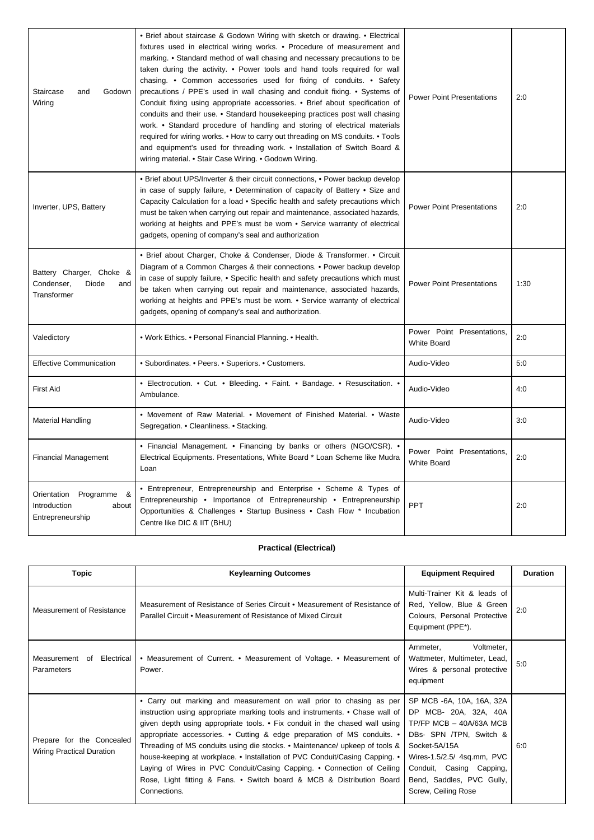| Staircase<br>and<br>Godown<br>Wiring                                    | • Brief about staircase & Godown Wiring with sketch or drawing. • Electrical<br>fixtures used in electrical wiring works. • Procedure of measurement and<br>marking. • Standard method of wall chasing and necessary precautions to be<br>taken during the activity. • Power tools and hand tools required for wall<br>chasing. • Common accessories used for fixing of conduits. • Safety<br>precautions / PPE's used in wall chasing and conduit fixing. • Systems of<br>Conduit fixing using appropriate accessories. • Brief about specification of<br>conduits and their use. • Standard housekeeping practices post wall chasing<br>work. • Standard procedure of handling and storing of electrical materials<br>required for wiring works. • How to carry out threading on MS conduits. • Tools<br>and equipment's used for threading work. • Installation of Switch Board &<br>wiring material. • Stair Case Wiring. • Godown Wiring. | <b>Power Point Presentations</b>                 | 2:0  |
|-------------------------------------------------------------------------|------------------------------------------------------------------------------------------------------------------------------------------------------------------------------------------------------------------------------------------------------------------------------------------------------------------------------------------------------------------------------------------------------------------------------------------------------------------------------------------------------------------------------------------------------------------------------------------------------------------------------------------------------------------------------------------------------------------------------------------------------------------------------------------------------------------------------------------------------------------------------------------------------------------------------------------------|--------------------------------------------------|------|
| Inverter, UPS, Battery                                                  | • Brief about UPS/Inverter & their circuit connections, • Power backup develop<br>in case of supply failure, . Determination of capacity of Battery . Size and<br>Capacity Calculation for a load • Specific health and safety precautions which<br>must be taken when carrying out repair and maintenance, associated hazards,<br>working at heights and PPE's must be worn • Service warranty of electrical<br>gadgets, opening of company's seal and authorization                                                                                                                                                                                                                                                                                                                                                                                                                                                                          | <b>Power Point Presentations</b>                 | 2:0  |
| Battery Charger, Choke &<br>Condenser,<br>Diode<br>and<br>Transformer   | • Brief about Charger, Choke & Condenser, Diode & Transformer. • Circuit<br>Diagram of a Common Charges & their connections. • Power backup develop<br>in case of supply failure, • Specific health and safety precautions which must<br>be taken when carrying out repair and maintenance, associated hazards,<br>working at heights and PPE's must be worn. • Service warranty of electrical<br>gadgets, opening of company's seal and authorization.                                                                                                                                                                                                                                                                                                                                                                                                                                                                                        | <b>Power Point Presentations</b>                 | 1:30 |
| Valedictory                                                             | . Work Ethics. • Personal Financial Planning. • Health.                                                                                                                                                                                                                                                                                                                                                                                                                                                                                                                                                                                                                                                                                                                                                                                                                                                                                        | Power Point Presentations,<br><b>White Board</b> | 2:0  |
| <b>Effective Communication</b>                                          | • Subordinates. • Peers. • Superiors. • Customers.                                                                                                                                                                                                                                                                                                                                                                                                                                                                                                                                                                                                                                                                                                                                                                                                                                                                                             | Audio-Video                                      | 5:0  |
| <b>First Aid</b>                                                        | • Electrocution. • Cut. • Bleeding. • Faint. • Bandage. • Resuscitation. •<br>Ambulance.                                                                                                                                                                                                                                                                                                                                                                                                                                                                                                                                                                                                                                                                                                                                                                                                                                                       | Audio-Video                                      | 4:0  |
| <b>Material Handling</b>                                                | • Movement of Raw Material. • Movement of Finished Material. • Waste<br>Segregation. • Cleanliness. • Stacking.                                                                                                                                                                                                                                                                                                                                                                                                                                                                                                                                                                                                                                                                                                                                                                                                                                | Audio-Video                                      | 3:0  |
| <b>Financial Management</b>                                             | • Financial Management. • Financing by banks or others (NGO/CSR). •<br>Electrical Equipments. Presentations, White Board * Loan Scheme like Mudra<br>Loan                                                                                                                                                                                                                                                                                                                                                                                                                                                                                                                                                                                                                                                                                                                                                                                      | Power Point Presentations,<br><b>White Board</b> | 2:0  |
| Orientation<br>Programme &<br>Introduction<br>about<br>Entrepreneurship | • Entrepreneur, Entrepreneurship and Enterprise • Scheme & Types of<br>Entrepreneurship • Importance of Entrepreneurship • Entrepreneurship<br>Opportunities & Challenges • Startup Business • Cash Flow * Incubation<br>Centre like DIC & IIT (BHU)                                                                                                                                                                                                                                                                                                                                                                                                                                                                                                                                                                                                                                                                                           | <b>PPT</b>                                       | 2:0  |

## **Practical (Electrical)**

| <b>Topic</b>                                                  | <b>Keylearning Outcomes</b>                                                                                                                                                                                                                                                                                                                                                                                                                                                                                                                                                                                                                            | <b>Equipment Required</b>                                                                                                                                                                                                               | <b>Duration</b> |
|---------------------------------------------------------------|--------------------------------------------------------------------------------------------------------------------------------------------------------------------------------------------------------------------------------------------------------------------------------------------------------------------------------------------------------------------------------------------------------------------------------------------------------------------------------------------------------------------------------------------------------------------------------------------------------------------------------------------------------|-----------------------------------------------------------------------------------------------------------------------------------------------------------------------------------------------------------------------------------------|-----------------|
| Measurement of Resistance                                     | Measurement of Resistance of Series Circuit • Measurement of Resistance of<br>Parallel Circuit • Measurement of Resistance of Mixed Circuit                                                                                                                                                                                                                                                                                                                                                                                                                                                                                                            | Multi-Trainer Kit & leads of<br>Red, Yellow, Blue & Green<br>Colours, Personal Protective<br>Equipment (PPE*).                                                                                                                          | 2:0             |
| Measurement of Electrical<br>Parameters                       | • Measurement of Current. • Measurement of Voltage. • Measurement of<br>Power.                                                                                                                                                                                                                                                                                                                                                                                                                                                                                                                                                                         | Voltmeter,<br>Ammeter,<br>Wattmeter, Multimeter, Lead,<br>Wires & personal protective<br>equipment                                                                                                                                      | 5:0             |
| Prepare for the Concealed<br><b>Wiring Practical Duration</b> | • Carry out marking and measurement on wall prior to chasing as per<br>instruction using appropriate marking tools and instruments. • Chase wall of<br>given depth using appropriate tools. $\bullet$ Fix conduit in the chased wall using<br>appropriate accessories. • Cutting & edge preparation of MS conduits. •<br>Threading of MS conduits using die stocks. • Maintenance/ upkeep of tools &<br>house-keeping at workplace. • Installation of PVC Conduit/Casing Capping. •<br>Laying of Wires in PVC Conduit/Casing Capping. • Connection of Ceiling<br>Rose, Light fitting & Fans. • Switch board & MCB & Distribution Board<br>Connections. | SP MCB -6A, 10A, 16A, 32A<br>DP MCB- 20A, 32A, 40A<br>TP/FP MCB - 40A/63A MCB<br>DBs- SPN /TPN, Switch &<br>Socket-5A/15A<br>Wires-1.5/2.5/ 4sq.mm, PVC<br>Conduit, Casing Capping,<br>Bend, Saddles, PVC Gully,<br>Screw, Ceiling Rose | 6:0             |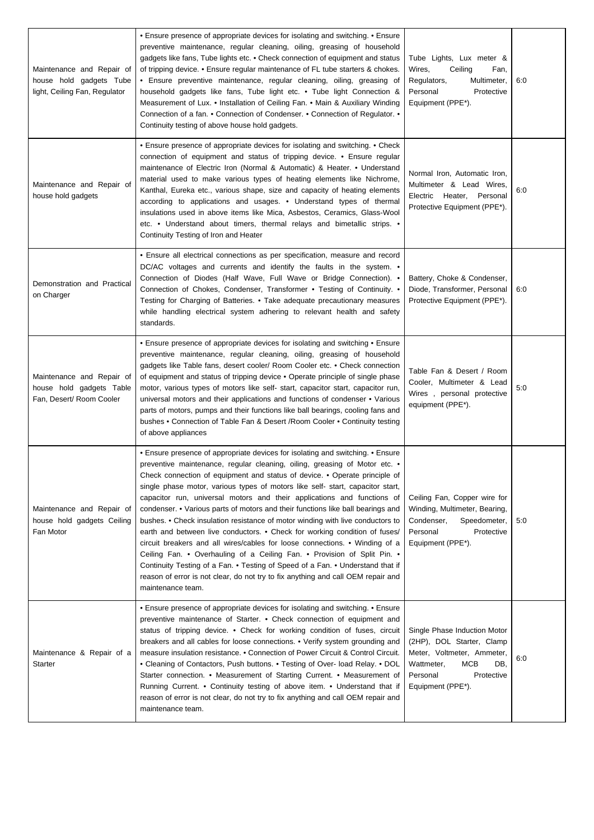| Maintenance and Repair of<br>house hold gadgets Tube<br>light, Ceiling Fan, Regulator | • Ensure presence of appropriate devices for isolating and switching. • Ensure<br>preventive maintenance, regular cleaning, oiling, greasing of household<br>gadgets like fans, Tube lights etc. • Check connection of equipment and status<br>of tripping device. • Ensure regular maintenance of FL tube starters & chokes.<br>• Ensure preventive maintenance, regular cleaning, oiling, greasing of<br>household gadgets like fans, Tube light etc. • Tube light Connection &<br>Measurement of Lux. • Installation of Ceiling Fan. • Main & Auxiliary Winding<br>Connection of a fan. • Connection of Condenser. • Connection of Regulator. •<br>Continuity testing of above house hold gadgets.                                                                                                                                                                                                                                                                                                            | Tube Lights, Lux meter &<br>Wires,<br>Ceiling<br>Fan,<br>Regulators,<br>Multimeter,<br>Personal<br>Protective<br>Equipment (PPE*).                                 | 6:0 |
|---------------------------------------------------------------------------------------|------------------------------------------------------------------------------------------------------------------------------------------------------------------------------------------------------------------------------------------------------------------------------------------------------------------------------------------------------------------------------------------------------------------------------------------------------------------------------------------------------------------------------------------------------------------------------------------------------------------------------------------------------------------------------------------------------------------------------------------------------------------------------------------------------------------------------------------------------------------------------------------------------------------------------------------------------------------------------------------------------------------|--------------------------------------------------------------------------------------------------------------------------------------------------------------------|-----|
| Maintenance and Repair of<br>house hold gadgets                                       | • Ensure presence of appropriate devices for isolating and switching. • Check<br>connection of equipment and status of tripping device. • Ensure regular<br>maintenance of Electric Iron (Normal & Automatic) & Heater. • Understand<br>material used to make various types of heating elements like Nichrome,<br>Kanthal, Eureka etc., various shape, size and capacity of heating elements<br>according to applications and usages. • Understand types of thermal<br>insulations used in above items like Mica, Asbestos, Ceramics, Glass-Wool<br>etc. • Understand about timers, thermal relays and bimetallic strips. •<br>Continuity Testing of Iron and Heater                                                                                                                                                                                                                                                                                                                                             | Normal Iron, Automatic Iron,<br>Multimeter & Lead Wires,<br>Electric Heater, Personal<br>Protective Equipment (PPE*).                                              | 6:0 |
| Demonstration and Practical<br>on Charger                                             | • Ensure all electrical connections as per specification, measure and record<br>DC/AC voltages and currents and identify the faults in the system. $\bullet$<br>Connection of Diodes (Half Wave, Full Wave or Bridge Connection). .<br>Connection of Chokes, Condenser, Transformer • Testing of Continuity. •<br>Testing for Charging of Batteries. • Take adequate precautionary measures<br>while handling electrical system adhering to relevant health and safety<br>standards.                                                                                                                                                                                                                                                                                                                                                                                                                                                                                                                             | Battery, Choke & Condenser,<br>Diode, Transformer, Personal<br>Protective Equipment (PPE*).                                                                        | 6:0 |
| Maintenance and Repair of<br>house hold gadgets Table<br>Fan, Desert/ Room Cooler     | • Ensure presence of appropriate devices for isolating and switching • Ensure<br>preventive maintenance, regular cleaning, oiling, greasing of household<br>gadgets like Table fans, desert cooler/ Room Cooler etc. • Check connection<br>of equipment and status of tripping device • Operate principle of single phase<br>motor, various types of motors like self- start, capacitor start, capacitor run,<br>universal motors and their applications and functions of condenser • Various<br>parts of motors, pumps and their functions like ball bearings, cooling fans and<br>bushes • Connection of Table Fan & Desert / Room Cooler • Continuity testing<br>of above appliances                                                                                                                                                                                                                                                                                                                          | Table Fan & Desert / Room<br>Cooler, Multimeter & Lead<br>Wires, personal protective<br>equipment (PPE*).                                                          | 5:0 |
| Maintenance and Repair of<br>house hold gadgets Ceiling<br>Fan Motor                  | • Ensure presence of appropriate devices for isolating and switching. • Ensure<br>preventive maintenance, regular cleaning, oiling, greasing of Motor etc. •<br>Check connection of equipment and status of device. . Operate principle of<br>single phase motor, various types of motors like self- start, capacitor start,<br>capacitor run, universal motors and their applications and functions of<br>condenser. • Various parts of motors and their functions like ball bearings and<br>bushes. • Check insulation resistance of motor winding with live conductors to<br>earth and between live conductors. • Check for working condition of fuses/<br>circuit breakers and all wires/cables for loose connections. • Winding of a<br>Ceiling Fan. • Overhauling of a Ceiling Fan. • Provision of Split Pin. •<br>Continuity Testing of a Fan. • Testing of Speed of a Fan. • Understand that if<br>reason of error is not clear, do not try to fix anything and call OEM repair and<br>maintenance team. | Ceiling Fan, Copper wire for<br>Winding, Multimeter, Bearing,<br>Condenser,<br>Speedometer,<br>Personal<br>Protective<br>Equipment (PPE*).                         | 5:0 |
| Maintenance & Repair of a<br>Starter                                                  | • Ensure presence of appropriate devices for isolating and switching. • Ensure<br>preventive maintenance of Starter. • Check connection of equipment and<br>status of tripping device. • Check for working condition of fuses, circuit<br>breakers and all cables for loose connections. • Verify system grounding and<br>measure insulation resistance. • Connection of Power Circuit & Control Circuit.<br>• Cleaning of Contactors, Push buttons. • Testing of Over- load Relay. • DOL<br>Starter connection. • Measurement of Starting Current. • Measurement of<br>Running Current. • Continuity testing of above item. • Understand that if<br>reason of error is not clear, do not try to fix anything and call OEM repair and<br>maintenance team.                                                                                                                                                                                                                                                       | Single Phase Induction Motor<br>(2HP), DOL Starter, Clamp<br>Meter, Voltmeter, Ammeter,<br>MCB<br>Wattmeter,<br>DB,<br>Personal<br>Protective<br>Equipment (PPE*). | 6:0 |